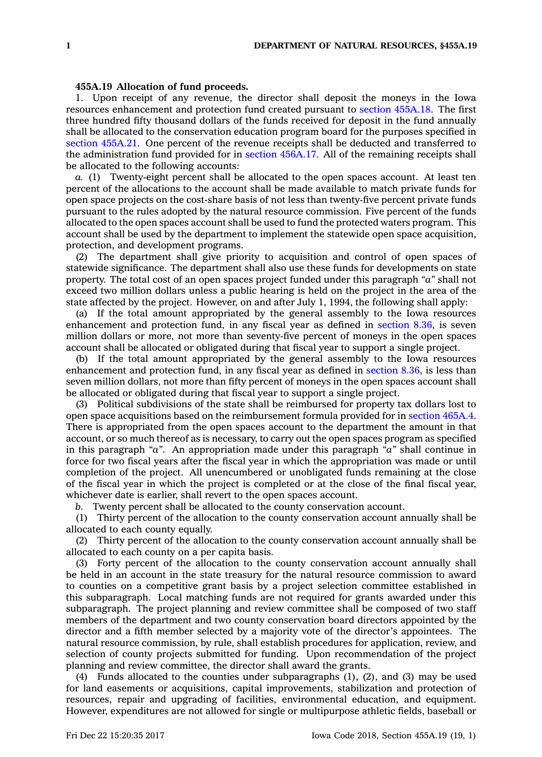## **455A.19 Allocation of fund proceeds.**

1. Upon receipt of any revenue, the director shall deposit the moneys in the Iowa resources enhancement and protection fund created pursuant to section [455A.18](https://www.legis.iowa.gov/docs/code/455A.18.pdf). The first three hundred fifty thousand dollars of the funds received for deposit in the fund annually shall be allocated to the conservation education program board for the purposes specified in section [455A.21](https://www.legis.iowa.gov/docs/code/455A.21.pdf). One percent of the revenue receipts shall be deducted and transferred to the administration fund provided for in section [456A.17](https://www.legis.iowa.gov/docs/code/456A.17.pdf). All of the remaining receipts shall be allocated to the following accounts:

*a.* (1) Twenty-eight percent shall be allocated to the open spaces account. At least ten percent of the allocations to the account shall be made available to match private funds for open space projects on the cost-share basis of not less than twenty-five percent private funds pursuant to the rules adopted by the natural resource commission. Five percent of the funds allocated to the open spaces account shall be used to fund the protected waters program. This account shall be used by the department to implement the statewide open space acquisition, protection, and development programs.

(2) The department shall give priority to acquisition and control of open spaces of statewide significance. The department shall also use these funds for developments on state property. The total cost of an open spaces project funded under this paragraph *"a"* shall not exceed two million dollars unless <sup>a</sup> public hearing is held on the project in the area of the state affected by the project. However, on and after July 1, 1994, the following shall apply:

(a) If the total amount appropriated by the general assembly to the Iowa resources enhancement and protection fund, in any fiscal year as defined in [section](https://www.legis.iowa.gov/docs/code/8.36.pdf) 8.36, is seven million dollars or more, not more than seventy-five percent of moneys in the open spaces account shall be allocated or obligated during that fiscal year to support <sup>a</sup> single project.

(b) If the total amount appropriated by the general assembly to the Iowa resources enhancement and protection fund, in any fiscal year as defined in [section](https://www.legis.iowa.gov/docs/code/8.36.pdf) 8.36, is less than seven million dollars, not more than fifty percent of moneys in the open spaces account shall be allocated or obligated during that fiscal year to support <sup>a</sup> single project.

(3) Political subdivisions of the state shall be reimbursed for property tax dollars lost to open space acquisitions based on the reimbursement formula provided for in [section](https://www.legis.iowa.gov/docs/code/465A.4.pdf) 465A.4. There is appropriated from the open spaces account to the department the amount in that account, or so much thereof as is necessary, to carry out the open spaces program as specified in this paragraph *"a"*. An appropriation made under this paragraph *"a"* shall continue in force for two fiscal years after the fiscal year in which the appropriation was made or until completion of the project. All unencumbered or unobligated funds remaining at the close of the fiscal year in which the project is completed or at the close of the final fiscal year, whichever date is earlier, shall revert to the open spaces account.

*b.* Twenty percent shall be allocated to the county conservation account.

(1) Thirty percent of the allocation to the county conservation account annually shall be allocated to each county equally.

(2) Thirty percent of the allocation to the county conservation account annually shall be allocated to each county on <sup>a</sup> per capita basis.

(3) Forty percent of the allocation to the county conservation account annually shall be held in an account in the state treasury for the natural resource commission to award to counties on <sup>a</sup> competitive grant basis by <sup>a</sup> project selection committee established in this subparagraph. Local matching funds are not required for grants awarded under this subparagraph. The project planning and review committee shall be composed of two staff members of the department and two county conservation board directors appointed by the director and <sup>a</sup> fifth member selected by <sup>a</sup> majority vote of the director's appointees. The natural resource commission, by rule, shall establish procedures for application, review, and selection of county projects submitted for funding. Upon recommendation of the project planning and review committee, the director shall award the grants.

(4) Funds allocated to the counties under subparagraphs (1), (2), and (3) may be used for land easements or acquisitions, capital improvements, stabilization and protection of resources, repair and upgrading of facilities, environmental education, and equipment. However, expenditures are not allowed for single or multipurpose athletic fields, baseball or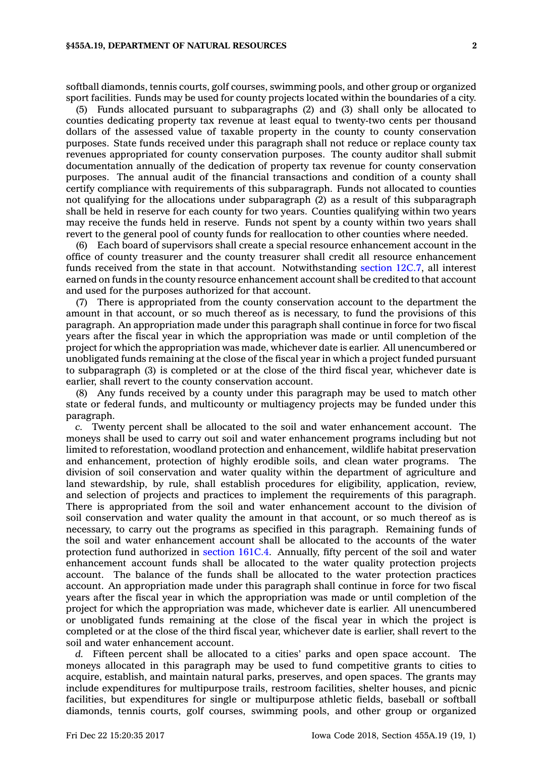softball diamonds, tennis courts, golf courses, swimming pools, and other group or organized sport facilities. Funds may be used for county projects located within the boundaries of <sup>a</sup> city.

(5) Funds allocated pursuant to subparagraphs (2) and (3) shall only be allocated to counties dedicating property tax revenue at least equal to twenty-two cents per thousand dollars of the assessed value of taxable property in the county to county conservation purposes. State funds received under this paragraph shall not reduce or replace county tax revenues appropriated for county conservation purposes. The county auditor shall submit documentation annually of the dedication of property tax revenue for county conservation purposes. The annual audit of the financial transactions and condition of <sup>a</sup> county shall certify compliance with requirements of this subparagraph. Funds not allocated to counties not qualifying for the allocations under subparagraph (2) as <sup>a</sup> result of this subparagraph shall be held in reserve for each county for two years. Counties qualifying within two years may receive the funds held in reserve. Funds not spent by <sup>a</sup> county within two years shall revert to the general pool of county funds for reallocation to other counties where needed.

(6) Each board of supervisors shall create <sup>a</sup> special resource enhancement account in the office of county treasurer and the county treasurer shall credit all resource enhancement funds received from the state in that account. Notwithstanding [section](https://www.legis.iowa.gov/docs/code/12C.7.pdf) 12C.7, all interest earned on funds in the county resource enhancement account shall be credited to that account and used for the purposes authorized for that account.

(7) There is appropriated from the county conservation account to the department the amount in that account, or so much thereof as is necessary, to fund the provisions of this paragraph. An appropriation made under this paragraph shall continue in force for two fiscal years after the fiscal year in which the appropriation was made or until completion of the project for which the appropriation was made, whichever date is earlier. All unencumbered or unobligated funds remaining at the close of the fiscal year in which <sup>a</sup> project funded pursuant to subparagraph (3) is completed or at the close of the third fiscal year, whichever date is earlier, shall revert to the county conservation account.

(8) Any funds received by <sup>a</sup> county under this paragraph may be used to match other state or federal funds, and multicounty or multiagency projects may be funded under this paragraph.

*c.* Twenty percent shall be allocated to the soil and water enhancement account. The moneys shall be used to carry out soil and water enhancement programs including but not limited to reforestation, woodland protection and enhancement, wildlife habitat preservation and enhancement, protection of highly erodible soils, and clean water programs. The division of soil conservation and water quality within the department of agriculture and land stewardship, by rule, shall establish procedures for eligibility, application, review, and selection of projects and practices to implement the requirements of this paragraph. There is appropriated from the soil and water enhancement account to the division of soil conservation and water quality the amount in that account, or so much thereof as is necessary, to carry out the programs as specified in this paragraph. Remaining funds of the soil and water enhancement account shall be allocated to the accounts of the water protection fund authorized in [section](https://www.legis.iowa.gov/docs/code/161C.4.pdf) 161C.4. Annually, fifty percent of the soil and water enhancement account funds shall be allocated to the water quality protection projects account. The balance of the funds shall be allocated to the water protection practices account. An appropriation made under this paragraph shall continue in force for two fiscal years after the fiscal year in which the appropriation was made or until completion of the project for which the appropriation was made, whichever date is earlier. All unencumbered or unobligated funds remaining at the close of the fiscal year in which the project is completed or at the close of the third fiscal year, whichever date is earlier, shall revert to the soil and water enhancement account.

*d.* Fifteen percent shall be allocated to <sup>a</sup> cities' parks and open space account. The moneys allocated in this paragraph may be used to fund competitive grants to cities to acquire, establish, and maintain natural parks, preserves, and open spaces. The grants may include expenditures for multipurpose trails, restroom facilities, shelter houses, and picnic facilities, but expenditures for single or multipurpose athletic fields, baseball or softball diamonds, tennis courts, golf courses, swimming pools, and other group or organized